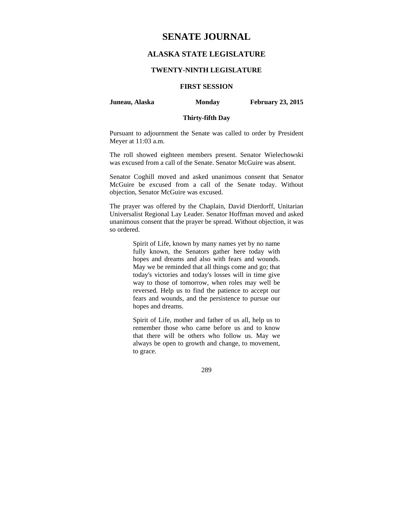# **SENATE JOURNAL**

# **ALASKA STATE LEGISLATURE**

#### **TWENTY-NINTH LEGISLATURE**

# **FIRST SESSION**

**Juneau, Alaska Monday February 23, 2015** 

# **Thirty-fifth Day**

Pursuant to adjournment the Senate was called to order by President Meyer at 11:03 a.m.

The roll showed eighteen members present. Senator Wielechowski was excused from a call of the Senate. Senator McGuire was absent.

Senator Coghill moved and asked unanimous consent that Senator McGuire be excused from a call of the Senate today. Without objection, Senator McGuire was excused.

The prayer was offered by the Chaplain, David Dierdorff, Unitarian Universalist Regional Lay Leader. Senator Hoffman moved and asked unanimous consent that the prayer be spread. Without objection, it was so ordered.

> Spirit of Life, known by many names yet by no name fully known, the Senators gather here today with hopes and dreams and also with fears and wounds. May we be reminded that all things come and go; that today's victories and today's losses will in time give way to those of tomorrow, when roles may well be reversed. Help us to find the patience to accept our fears and wounds, and the persistence to pursue our hopes and dreams.

> Spirit of Life, mother and father of us all, help us to remember those who came before us and to know that there will be others who follow us. May we always be open to growth and change, to movement, to grace.

> > 289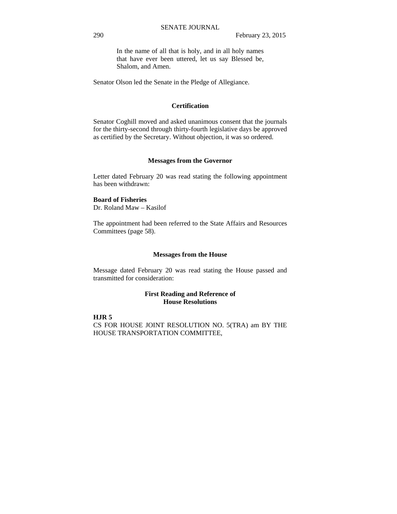In the name of all that is holy, and in all holy names that have ever been uttered, let us say Blessed be, Shalom, and Amen.

Senator Olson led the Senate in the Pledge of Allegiance.

#### **Certification**

Senator Coghill moved and asked unanimous consent that the journals for the thirty-second through thirty-fourth legislative days be approved as certified by the Secretary. Without objection, it was so ordered.

#### **Messages from the Governor**

Letter dated February 20 was read stating the following appointment has been withdrawn:

#### **Board of Fisheries**

Dr. Roland Maw – Kasilof

The appointment had been referred to the State Affairs and Resources Committees (page 58).

#### **Messages from the House**

Message dated February 20 was read stating the House passed and transmitted for consideration:

#### **First Reading and Reference of House Resolutions**

#### **HJR 5**

CS FOR HOUSE JOINT RESOLUTION NO. 5(TRA) am BY THE HOUSE TRANSPORTATION COMMITTEE,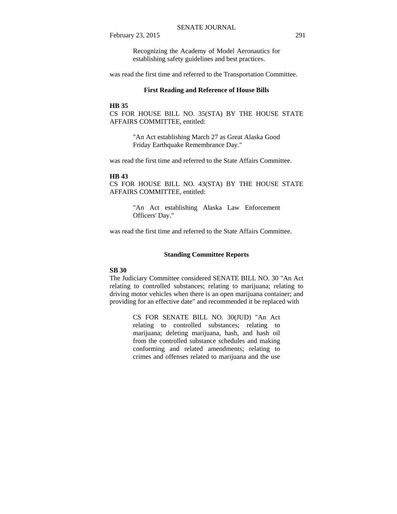Recognizing the Academy of Model Aeronautics for establishing safety guidelines and best practices.

was read the first time and referred to the Transportation Committee.

#### **First Reading and Reference of House Bills**

### **HB 35**

CS FOR HOUSE BILL NO. 35(STA) BY THE HOUSE STATE AFFAIRS COMMITTEE, entitled:

> "An Act establishing March 27 as Great Alaska Good Friday Earthquake Remembrance Day."

was read the first time and referred to the State Affairs Committee.

#### **HB 43**

CS FOR HOUSE BILL NO. 43(STA) BY THE HOUSE STATE AFFAIRS COMMITTEE, entitled:

> "An Act establishing Alaska Law Enforcement Officers' Day."

was read the first time and referred to the State Affairs Committee.

#### **Standing Committee Reports**

#### **SB 30**

The Judiciary Committee considered SENATE BILL NO. 30 "An Act relating to controlled substances; relating to marijuana; relating to driving motor vehicles when there is an open marijuana container; and providing for an effective date" and recommended it be replaced with

> CS FOR SENATE BILL NO. 30(JUD) "An Act relating to controlled substances; relating to marijuana; deleting marijuana, hash, and hash oil from the controlled substance schedules and making conforming and related amendments; relating to crimes and offenses related to marijuana and the use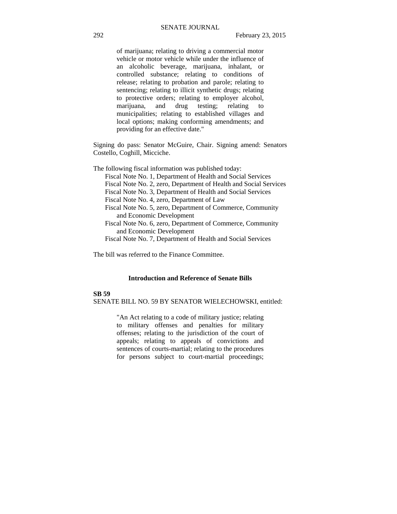of marijuana; relating to driving a commercial motor vehicle or motor vehicle while under the influence of an alcoholic beverage, marijuana, inhalant, or controlled substance; relating to conditions of release; relating to probation and parole; relating to sentencing; relating to illicit synthetic drugs; relating to protective orders; relating to employer alcohol, marijuana, and drug testing; relating to municipalities; relating to established villages and local options; making conforming amendments; and providing for an effective date."

Signing do pass: Senator McGuire, Chair. Signing amend: Senators Costello, Coghill, Micciche.

The following fiscal information was published today:

- Fiscal Note No. 1, Department of Health and Social Services
- Fiscal Note No. 2, zero, Department of Health and Social Services
- Fiscal Note No. 3, Department of Health and Social Services
- Fiscal Note No. 4, zero, Department of Law
- Fiscal Note No. 5, zero, Department of Commerce, Community and Economic Development
- Fiscal Note No. 6, zero, Department of Commerce, Community and Economic Development
- Fiscal Note No. 7, Department of Health and Social Services

The bill was referred to the Finance Committee.

# **Introduction and Reference of Senate Bills**

#### **SB 59**

SENATE BILL NO. 59 BY SENATOR WIELECHOWSKI, entitled:

"An Act relating to a code of military justice; relating to military offenses and penalties for military offenses; relating to the jurisdiction of the court of appeals; relating to appeals of convictions and sentences of courts-martial; relating to the procedures for persons subject to court-martial proceedings;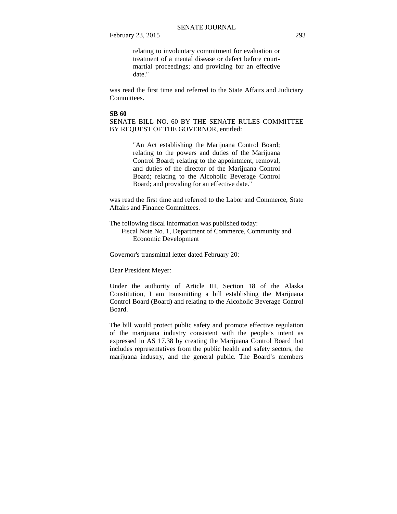relating to involuntary commitment for evaluation or treatment of a mental disease or defect before courtmartial proceedings; and providing for an effective date."

was read the first time and referred to the State Affairs and Judiciary Committees.

#### **SB 60**

SENATE BILL NO. 60 BY THE SENATE RULES COMMITTEE BY REQUEST OF THE GOVERNOR, entitled:

> "An Act establishing the Marijuana Control Board; relating to the powers and duties of the Marijuana Control Board; relating to the appointment, removal, and duties of the director of the Marijuana Control Board; relating to the Alcoholic Beverage Control Board; and providing for an effective date."

was read the first time and referred to the Labor and Commerce, State Affairs and Finance Committees.

The following fiscal information was published today: Fiscal Note No. 1, Department of Commerce, Community and Economic Development

Governor's transmittal letter dated February 20:

Dear President Meyer:

Under the authority of Article III, Section 18 of the Alaska Constitution, I am transmitting a bill establishing the Marijuana Control Board (Board) and relating to the Alcoholic Beverage Control Board.

The bill would protect public safety and promote effective regulation of the marijuana industry consistent with the people's intent as expressed in AS 17.38 by creating the Marijuana Control Board that includes representatives from the public health and safety sectors, the marijuana industry, and the general public. The Board's members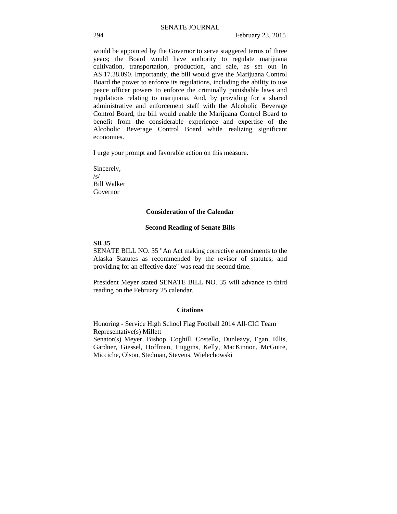would be appointed by the Governor to serve staggered terms of three years; the Board would have authority to regulate marijuana cultivation, transportation, production, and sale, as set out in AS 17.38.090. Importantly, the bill would give the Marijuana Control Board the power to enforce its regulations, including the ability to use peace officer powers to enforce the criminally punishable laws and regulations relating to marijuana. And, by providing for a shared administrative and enforcement staff with the Alcoholic Beverage Control Board, the bill would enable the Marijuana Control Board to benefit from the considerable experience and expertise of the Alcoholic Beverage Control Board while realizing significant economies.

I urge your prompt and favorable action on this measure.

Sincerely,  $\sqrt{s}$ Bill Walker Governor

#### **Consideration of the Calendar**

#### **Second Reading of Senate Bills**

#### **SB 35**

SENATE BILL NO. 35 "An Act making corrective amendments to the Alaska Statutes as recommended by the revisor of statutes; and providing for an effective date" was read the second time.

President Meyer stated SENATE BILL NO. 35 will advance to third reading on the February 25 calendar.

#### **Citations**

Honoring - Service High School Flag Football 2014 All-CIC Team Representative(s) Millett

Senator(s) Meyer, Bishop, Coghill, Costello, Dunleavy, Egan, Ellis, Gardner, Giessel, Hoffman, Huggins, Kelly, MacKinnon, McGuire, Micciche, Olson, Stedman, Stevens, Wielechowski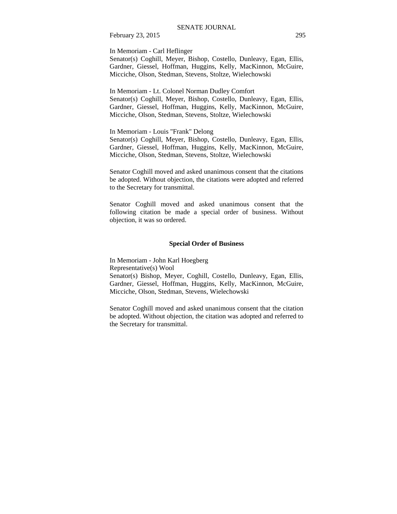In Memoriam - Carl Heflinger

Senator(s) Coghill, Meyer, Bishop, Costello, Dunleavy, Egan, Ellis, Gardner, Giessel, Hoffman, Huggins, Kelly, MacKinnon, McGuire, Micciche, Olson, Stedman, Stevens, Stoltze, Wielechowski

In Memoriam - Lt. Colonel Norman Dudley Comfort Senator(s) Coghill, Meyer, Bishop, Costello, Dunleavy, Egan, Ellis, Gardner, Giessel, Hoffman, Huggins, Kelly, MacKinnon, McGuire, Micciche, Olson, Stedman, Stevens, Stoltze, Wielechowski

In Memoriam - Louis "Frank" Delong

Senator(s) Coghill, Meyer, Bishop, Costello, Dunleavy, Egan, Ellis, Gardner, Giessel, Hoffman, Huggins, Kelly, MacKinnon, McGuire, Micciche, Olson, Stedman, Stevens, Stoltze, Wielechowski

Senator Coghill moved and asked unanimous consent that the citations be adopted. Without objection, the citations were adopted and referred to the Secretary for transmittal.

Senator Coghill moved and asked unanimous consent that the following citation be made a special order of business. Without objection, it was so ordered.

#### **Special Order of Business**

In Memoriam - John Karl Hoegberg Representative(s) Wool Senator(s) Bishop, Meyer, Coghill, Costello, Dunleavy, Egan, Ellis, Gardner, Giessel, Hoffman, Huggins, Kelly, MacKinnon, McGuire, Micciche, Olson, Stedman, Stevens, Wielechowski

Senator Coghill moved and asked unanimous consent that the citation be adopted. Without objection, the citation was adopted and referred to the Secretary for transmittal.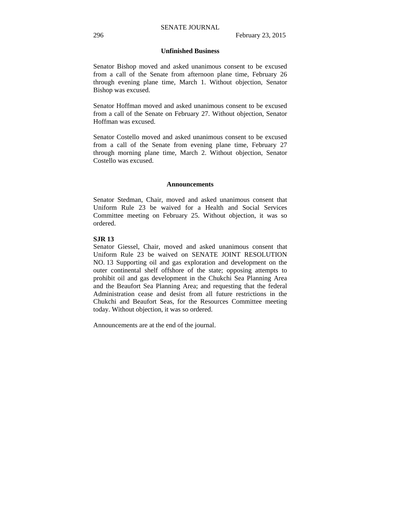#### **Unfinished Business**

Senator Bishop moved and asked unanimous consent to be excused from a call of the Senate from afternoon plane time, February 26 through evening plane time, March 1. Without objection, Senator Bishop was excused.

Senator Hoffman moved and asked unanimous consent to be excused from a call of the Senate on February 27. Without objection, Senator Hoffman was excused.

Senator Costello moved and asked unanimous consent to be excused from a call of the Senate from evening plane time, February 27 through morning plane time, March 2. Without objection, Senator Costello was excused.

#### **Announcements**

Senator Stedman, Chair, moved and asked unanimous consent that Uniform Rule 23 be waived for a Health and Social Services Committee meeting on February 25. Without objection, it was so ordered.

#### **SJR 13**

Senator Giessel, Chair, moved and asked unanimous consent that Uniform Rule 23 be waived on SENATE JOINT RESOLUTION NO. 13 Supporting oil and gas exploration and development on the outer continental shelf offshore of the state; opposing attempts to prohibit oil and gas development in the Chukchi Sea Planning Area and the Beaufort Sea Planning Area; and requesting that the federal Administration cease and desist from all future restrictions in the Chukchi and Beaufort Seas, for the Resources Committee meeting today. Without objection, it was so ordered.

Announcements are at the end of the journal.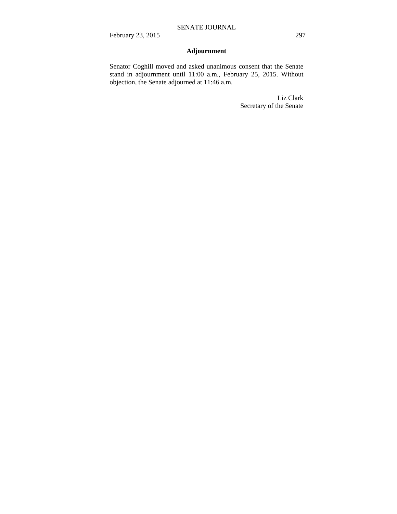# **Adjournment**

Senator Coghill moved and asked unanimous consent that the Senate stand in adjournment until 11:00 a.m., February 25, 2015. Without objection, the Senate adjourned at 11:46 a.m.

> Liz Clark Secretary of the Senate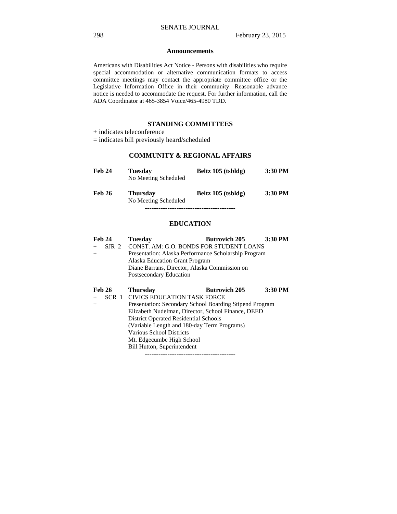#### **Announcements**

Americans with Disabilities Act Notice - Persons with disabilities who require special accommodation or alternative communication formats to access committee meetings may contact the appropriate committee office or the Legislative Information Office in their community. Reasonable advance notice is needed to accommodate the request. For further information, call the ADA Coordinator at 465-3854 Voice/465-4980 TDD.

#### **STANDING COMMITTEES**

# **COMMUNITY & REGIONAL AFFAIRS**

| Feb 24        | <b>Tuesday</b><br>No Meeting Scheduled  | Beltz 105 (tsbldg) | 3:30 PM |
|---------------|-----------------------------------------|--------------------|---------|
| <b>Feb 26</b> | <b>Thursday</b><br>No Meeting Scheduled | Beltz 105 (tsbldg) | 3:30 PM |
|               |                                         |                    |         |

#### **EDUCATION**

| <b>Feb 24</b> | <b>Tuesday</b>                                          | <b>Butrovich 205</b> | 3:30 PM |
|---------------|---------------------------------------------------------|----------------------|---------|
| $+$           | SJR 2 CONST. AM: G.O. BONDS FOR STUDENT LOANS           |                      |         |
| $+$           | Presentation: Alaska Performance Scholarship Program    |                      |         |
|               | Alaska Education Grant Program                          |                      |         |
|               | Diane Barrans, Director, Alaska Commission on           |                      |         |
|               | Postsecondary Education                                 |                      |         |
| <b>Feb 26</b> | <b>Thursday</b>                                         | <b>Butrovich 205</b> | 3:30 PM |
| $+$           | SCR 1 CIVICS EDUCATION TASK FORCE                       |                      |         |
| $+$           | Presentation: Secondary School Boarding Stipend Program |                      |         |
|               | Elizabeth Nudelman, Director, School Finance, DEED      |                      |         |
|               | <b>District Operated Residential Schools</b>            |                      |         |
|               | (Variable Length and 180-day Term Programs)             |                      |         |
|               | Various School Districts                                |                      |         |
|               | Mt. Edgecumbe High School                               |                      |         |
|               | <b>Bill Hutton, Superintendent</b>                      |                      |         |
|               |                                                         |                      |         |

<sup>+</sup> indicates teleconference

<sup>=</sup> indicates bill previously heard/scheduled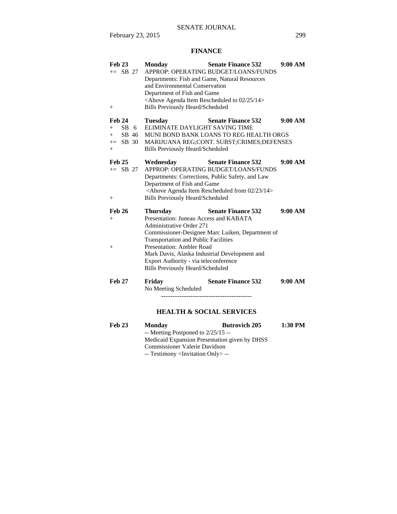# **FINANCE**

| <b>Feb 23</b><br>$+=$ SB 27<br>$^{+}$             | <b>Monday</b><br>APPROP: OPERATING BUDGET/LOANS/FUNDS<br>Departments: Fish and Game, Natural Resources<br>and Environmental Conservation<br>Department of Fish and Game<br><above 02="" 14="" 25="" agenda="" item="" rescheduled="" to=""><br/><b>Bills Previously Heard/Scheduled</b></above> | <b>Senate Finance 532</b> | 9:00 AM |
|---------------------------------------------------|-------------------------------------------------------------------------------------------------------------------------------------------------------------------------------------------------------------------------------------------------------------------------------------------------|---------------------------|---------|
| <b>Feb 24</b>                                     | <b>Tuesday</b>                                                                                                                                                                                                                                                                                  | <b>Senate Finance 532</b> | 9:00 AM |
| SB<br>6<br>$+$<br>SB 46<br>$^{+}$                 | ELIMINATE DAYLIGHT SAVING TIME<br>MUNI BOND BANK LOANS TO REG HEALTH ORGS                                                                                                                                                                                                                       |                           |         |
| $+=$ SB 30<br>$+$                                 | MARIJUANA REG;CONT. SUBST;CRIMES;DEFENSES<br><b>Bills Previously Heard/Scheduled</b>                                                                                                                                                                                                            |                           |         |
| <b>Feb 25</b><br>$+=$ SB 27<br>$\hspace{0.1mm} +$ | Wednesday<br>APPROP: OPERATING BUDGET/LOANS/FUNDS<br>Departments: Corrections, Public Safety, and Law<br>Department of Fish and Game<br><above 02="" 14="" 23="" agenda="" from="" item="" rescheduled=""><br/><b>Bills Previously Heard/Scheduled</b></above>                                  | <b>Senate Finance 532</b> | 9:00 AM |
| <b>Feb 26</b>                                     | <b>Thursday</b>                                                                                                                                                                                                                                                                                 | <b>Senate Finance 532</b> | 9:00 AM |
| $^{+}$                                            | Presentation: Juneau Access and KABATA<br><b>Administrative Order 271</b>                                                                                                                                                                                                                       |                           |         |
|                                                   | Commissioner-Designee Marc Luiken, Department of                                                                                                                                                                                                                                                |                           |         |
|                                                   | <b>Transportation and Public Facilities</b>                                                                                                                                                                                                                                                     |                           |         |
| $^+$                                              | <b>Presentation: Ambler Road</b><br>Mark Davis, Alaska Industrial Development and                                                                                                                                                                                                               |                           |         |
|                                                   | Export Authority - via teleconference<br><b>Bills Previously Heard/Scheduled</b>                                                                                                                                                                                                                |                           |         |
| <b>Feb 27</b>                                     | Friday<br>No Meeting Scheduled                                                                                                                                                                                                                                                                  | <b>Senate Finance 532</b> | 9:00 AM |

#### **HEALTH & SOCIAL SERVICES**

**Feb 23 Monday Butrovich 205 1:30 PM**  -- Meeting Postponed to 2/25/15 -- Medicaid Expansion Presentation given by DHSS Commissioner Valerie Davidson -- Testimony <Invitation Only> --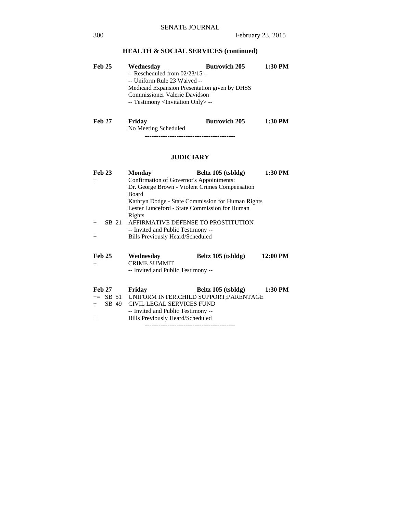# **HEALTH & SOCIAL SERVICES (continued)**

| <b>Feb 25</b> | Wednesday                                         | <b>Butrovich 205</b>                          | 1:30 PM |
|---------------|---------------------------------------------------|-----------------------------------------------|---------|
|               | $-$ Rescheduled from 02/23/15 $-$                 |                                               |         |
|               | -- Uniform Rule 23 Waived --                      |                                               |         |
|               |                                                   | Medicaid Expansion Presentation given by DHSS |         |
|               | <b>Commissioner Valerie Davidson</b>              |                                               |         |
|               | -- Testimony <invitation only=""> --</invitation> |                                               |         |
|               |                                                   |                                               |         |
|               |                                                   |                                               |         |

| <b>Feb 27</b> | Friday               | <b>Butrovich 205</b> | 1:30 PM |
|---------------|----------------------|----------------------|---------|
|               | No Meeting Scheduled |                      |         |

----------------------------------------

# **JUDICIARY**

| <b>Feb 23</b> | 1:30 PM<br>Beltz 105 (tsbldg)<br>Monday           |
|---------------|---------------------------------------------------|
| $+$           | Confirmation of Governor's Appointments:          |
|               | Dr. George Brown - Violent Crimes Compensation    |
|               | <b>Board</b>                                      |
|               | Kathryn Dodge - State Commission for Human Rights |
|               | Lester Lunceford - State Commission for Human     |
|               | Rights                                            |
| SB 21<br>$+$  | AFFIRMATIVE DEFENSE TO PROSTITUTION               |
|               | -- Invited and Public Testimony --                |
| $^{+}$        | Bills Previously Heard/Scheduled                  |
|               |                                                   |
|               |                                                   |
|               |                                                   |
| <b>Feb 25</b> | $12:00$ PM<br>Wednesday<br>Beltz 105 (tsbldg)     |
| $^{+}$        | <b>CRIME SUMMIT</b>                               |
|               |                                                   |
|               | -- Invited and Public Testimony --                |
|               |                                                   |
| <b>Feb 27</b> | 1:30 PM<br>Friday<br>Beltz $105$ (tsbldg)         |
|               | += SB 51 UNIFORM INTER.CHILD SUPPORT:PARENTAGE    |
| SB 49<br>$+$  | CIVIL LEGAL SERVICES FUND                         |
|               | -- Invited and Public Testimony --                |
| $^{+}$        | Bills Previously Heard/Scheduled                  |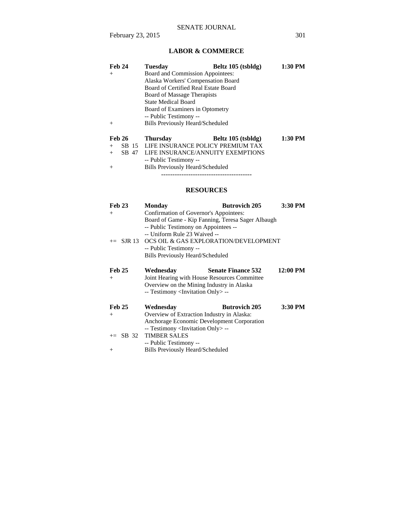# **LABOR & COMMERCE**

|        | Feb 24        | <b>Tuesday</b>                       | Beltz 105 (tsbldg) | 1:30 PM |
|--------|---------------|--------------------------------------|--------------------|---------|
| $^{+}$ |               | Board and Commission Appointees:     |                    |         |
|        |               | Alaska Workers' Compensation Board   |                    |         |
|        |               | Board of Certified Real Estate Board |                    |         |
|        |               | Board of Massage Therapists          |                    |         |
|        |               | <b>State Medical Board</b>           |                    |         |
|        |               | Board of Examiners in Optometry      |                    |         |
|        |               | -- Public Testimony --               |                    |         |
| $+$    |               | Bills Previously Heard/Scheduled     |                    |         |
|        | <b>Feb 26</b> | <b>Thursday</b>                      | Beltz 105 (tsbldg) | 1:30 PM |
| $+$    | SB 15         | LIFE INSURANCE POLICY PREMIUM TAX    |                    |         |
| $^{+}$ | SB 47         | LIFE INSURANCE/ANNUITY EXEMPTIONS    |                    |         |
|        |               | -- Public Testimony --               |                    |         |

+ Bills Previously Heard/Scheduled ----------------------------------------

# **RESOURCES**

| <b>Feb 23</b>        | <b>Monday</b>                                                                                                                                                                                                                                       | <b>Butrovich 205</b>      | 3:30 PM  |
|----------------------|-----------------------------------------------------------------------------------------------------------------------------------------------------------------------------------------------------------------------------------------------------|---------------------------|----------|
| $^{+}$               | Confirmation of Governor's Appointees:                                                                                                                                                                                                              |                           |          |
|                      | Board of Game - Kip Fanning, Teresa Sager Albaugh<br>-- Public Testimony on Appointees --<br>-- Uniform Rule 23 Waived --<br>$+=$ SJR 13 OCS OIL & GAS EXPLORATION/DEVELOPMENT<br>-- Public Testimony --<br><b>Bills Previously Heard/Scheduled</b> |                           |          |
| <b>Feb 25</b><br>$+$ | Wednesday<br>Joint Hearing with House Resources Committee                                                                                                                                                                                           | <b>Senate Finance 532</b> | 12:00 PM |
|                      | Overview on the Mining Industry in Alaska                                                                                                                                                                                                           |                           |          |
|                      | -- Testimony <invitation only=""> --</invitation>                                                                                                                                                                                                   |                           |          |
| <b>Feb 25</b>        | Wednesday                                                                                                                                                                                                                                           | <b>Butrovich 205</b>      | 3:30 PM  |
| $^{+}$               | Overview of Extraction Industry in Alaska:                                                                                                                                                                                                          |                           |          |
|                      | Anchorage Economic Development Corporation                                                                                                                                                                                                          |                           |          |
|                      | -- Testimony <invitation only=""> --</invitation>                                                                                                                                                                                                   |                           |          |
| $+=$ SB 32           | <b>TIMBER SALES</b>                                                                                                                                                                                                                                 |                           |          |
|                      | -- Public Testimony --                                                                                                                                                                                                                              |                           |          |
| $^{+}$               | <b>Bills Previously Heard/Scheduled</b>                                                                                                                                                                                                             |                           |          |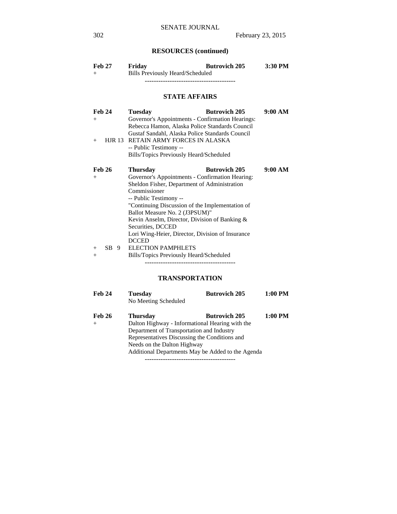# **RESOURCES (continued)**

| <b>Feb 27</b><br>$^{+}$        | <b>Butrovich 205</b><br>Friday<br><b>Bills Previously Heard/Scheduled</b>                                                                                                                                                                                                                                                                                                                                           | 3:30 PM |
|--------------------------------|---------------------------------------------------------------------------------------------------------------------------------------------------------------------------------------------------------------------------------------------------------------------------------------------------------------------------------------------------------------------------------------------------------------------|---------|
|                                | <b>STATE AFFAIRS</b>                                                                                                                                                                                                                                                                                                                                                                                                |         |
| <b>Feb 24</b><br>$^{+}$<br>$+$ | <b>Tuesday</b><br><b>Butrovich 205</b><br>Governor's Appointments - Confirmation Hearings:<br>Rebecca Hamon, Alaska Police Standards Council<br>Gustaf Sandahl, Alaska Police Standards Council<br>HJR 13 RETAIN ARMY FORCES IN ALASKA<br>-- Public Testimony --<br>Bills/Topics Previously Heard/Scheduled                                                                                                         | 9:00 AM |
| <b>Feb 26</b><br>$^{+}$        | <b>Butrovich 205</b><br><b>Thursday</b><br>Governor's Appointments - Confirmation Hearing:<br>Sheldon Fisher, Department of Administration<br>Commissioner<br>-- Public Testimony --<br>"Continuing Discussion of the Implementation of<br>Ballot Measure No. 2 (J3PSUM)"<br>Kevin Anselm, Director, Division of Banking &<br>Securities, DCCED<br>Lori Wing-Heier, Director, Division of Insurance<br><b>DCCED</b> | 9:00 AM |
| $SB$ 9<br>$^{+}$<br>$^{+}$     | <b>ELECTION PAMPHLETS</b><br>Bills/Topics Previously Heard/Scheduled<br>TRANSPORTATION                                                                                                                                                                                                                                                                                                                              |         |

**Feb 24 Tuesday Butrovich 205 1:00 PM** 

Feb 26 Thursday Butrovich 205 1:00 PM

 Additional Departments May be Added to the Agenda ----------------------------------------

No Meeting Scheduled

+ Dalton Highway - Informational Hearing with the Department of Transportation and Industry Representatives Discussing the Conditions and Needs on the Dalton Highway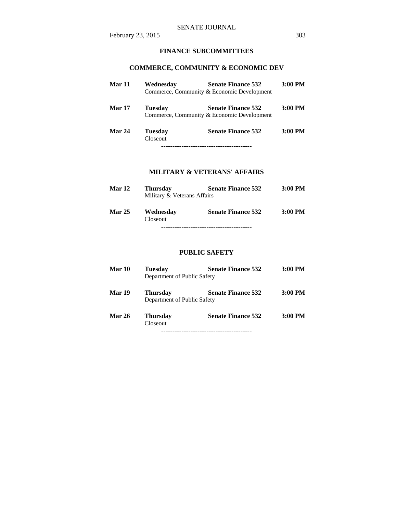# **FINANCE SUBCOMMITTEES**

# **COMMERCE, COMMUNITY & ECONOMIC DEV**

| Mar 11        | Wednesday                         | <b>Senate Finance 532</b>                                               | $3:00$ PM |
|---------------|-----------------------------------|-------------------------------------------------------------------------|-----------|
|               |                                   | Commerce, Community & Economic Development                              |           |
| <b>Mar 17</b> | <b>Tuesday</b>                    | <b>Senate Finance 532</b><br>Commerce, Community & Economic Development | $3:00$ PM |
| Mar 24        | <b>Tuesday</b><br><b>Closeout</b> | <b>Senate Finance 532</b>                                               | $3:00$ PM |
|               |                                   |                                                                         |           |

# **MILITARY & VETERANS' AFFAIRS**

| <b>Mar 12</b> | <b>Thursday</b>             | <b>Senate Finance 532</b> | $3:00$ PM |
|---------------|-----------------------------|---------------------------|-----------|
|               | Military & Veterans Affairs |                           |           |
| <b>Mar 25</b> | Wednesday<br>Closeout       | <b>Senate Finance 532</b> | $3:00$ PM |
|               |                             |                           |           |

#### **PUBLIC SAFETY**

| Mar 10        | <b>Tuesday</b><br>Department of Public Safety  | <b>Senate Finance 532</b> | $3:00$ PM |
|---------------|------------------------------------------------|---------------------------|-----------|
| <b>Mar 19</b> | <b>Thursday</b><br>Department of Public Safety | <b>Senate Finance 532</b> | $3:00$ PM |
| <b>Mar 26</b> | <b>Thursday</b><br><b>Closeout</b>             | <b>Senate Finance 532</b> | $3:00$ PM |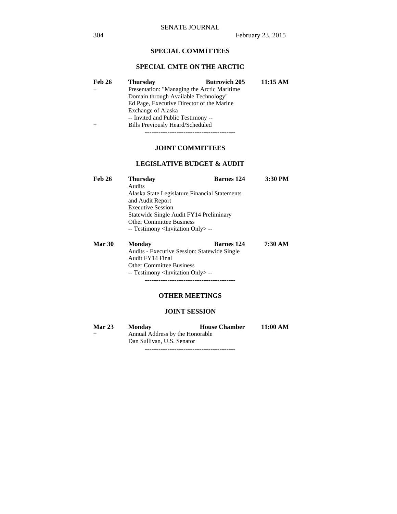# **SPECIAL COMMITTEES**

#### **SPECIAL CMTE ON THE ARCTIC**

| Feb 26 | <b>Thursday</b>                           | <b>Butrovich 205</b>                         | 11:15 AM |  |  |
|--------|-------------------------------------------|----------------------------------------------|----------|--|--|
|        |                                           | Presentation: "Managing the Arctic Maritime" |          |  |  |
|        | Domain through Available Technology"      |                                              |          |  |  |
|        | Ed Page, Executive Director of the Marine |                                              |          |  |  |
|        | <b>Exchange of Alaska</b>                 |                                              |          |  |  |
|        | -- Invited and Public Testimony --        |                                              |          |  |  |
|        | Bills Previously Heard/Scheduled          |                                              |          |  |  |

----------------------------------------

### **JOINT COMMITTEES**

#### **LEGISLATIVE BUDGET & AUDIT**

| <b>Feb 26</b> | <b>Thursday</b>                                                                                                                                                                       | <b>Barnes</b> 124 | 3:30 PM |  |  |                                                   |                                                     |                   |         |  |
|---------------|---------------------------------------------------------------------------------------------------------------------------------------------------------------------------------------|-------------------|---------|--|--|---------------------------------------------------|-----------------------------------------------------|-------------------|---------|--|
|               | Audits<br>Alaska State Legislature Financial Statements<br>and Audit Report<br><b>Executive Session</b><br>Statewide Single Audit FY14 Preliminary<br><b>Other Committee Business</b> |                   |         |  |  |                                                   |                                                     |                   |         |  |
|               |                                                                                                                                                                                       |                   |         |  |  | -- Testimony <invitation only=""> --</invitation> |                                                     |                   |         |  |
|               |                                                                                                                                                                                       |                   |         |  |  | <b>Mar 30</b>                                     | <b>Monday</b>                                       | <b>Barnes</b> 124 | 7:30 AM |  |
|               |                                                                                                                                                                                       |                   |         |  |  |                                                   | <b>Audits - Executive Session: Statewide Single</b> |                   |         |  |
|               |                                                                                                                                                                                       |                   |         |  |  |                                                   | Audit FY14 Final                                    |                   |         |  |

 Other Committee Business -- Testimony <Invitation Only> --

#### **OTHER MEETINGS**

----------------------------------------

#### **JOINT SESSION**

| <b>Mar 23</b> | <b>Monday</b>                   | <b>House Chamber</b> | 11:00 AM |  |
|---------------|---------------------------------|----------------------|----------|--|
| $+$           | Annual Address by the Honorable |                      |          |  |
|               | Dan Sullivan, U.S. Senator      |                      |          |  |

----------------------------------------